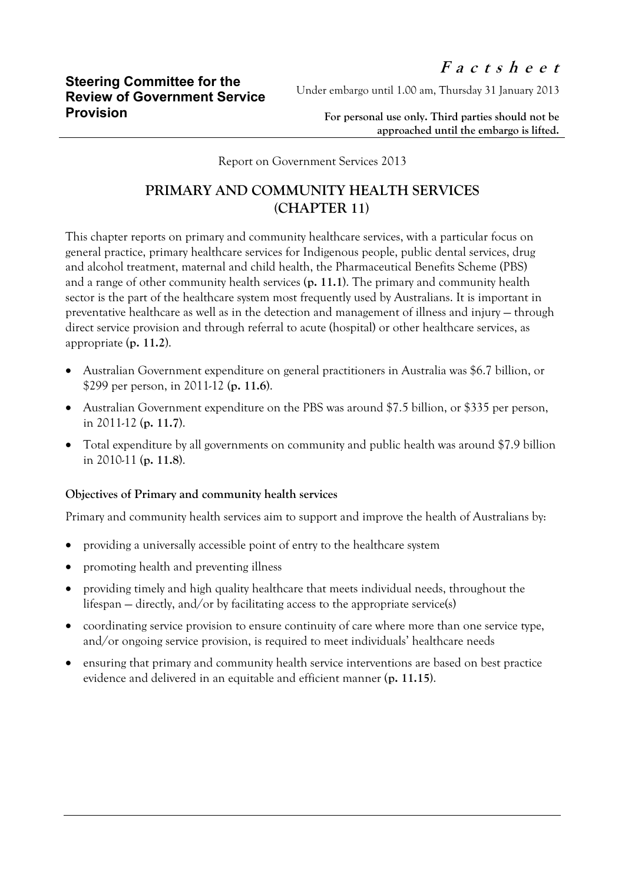Under embargo until 1.00 am, Thursday 31 January 2013

**For personal use only. Third parties should not be approached until the embargo is lifted.**

Report on Government Services 2013

## **PRIMARY AND COMMUNITY HEALTH SERVICES (CHAPTER 11)**

This chapter reports on primary and community healthcare services, with a particular focus on general practice, primary healthcare services for Indigenous people, public dental services, drug and alcohol treatment, maternal and child health, the Pharmaceutical Benefits Scheme (PBS) and a range of other community health services (**p. 11.1**). The primary and community health sector is the part of the healthcare system most frequently used by Australians. It is important in preventative healthcare as well as in the detection and management of illness and injury — through direct service provision and through referral to acute (hospital) or other healthcare services, as appropriate (**p. 11.2**).

- Australian Government expenditure on general practitioners in Australia was \$6.7 billion, or \$299 per person, in 2011-12 (**p. 11.6**).
- Australian Government expenditure on the PBS was around \$7.5 billion, or \$335 per person, in 2011-12 (**p. 11.7**).
- Total expenditure by all governments on community and public health was around \$7.9 billion in 2010-11 (**p. 11.8**).

## **Objectives of Primary and community health services**

Primary and community health services aim to support and improve the health of Australians by:

- providing a universally accessible point of entry to the healthcare system
- promoting health and preventing illness
- providing timely and high quality healthcare that meets individual needs, throughout the lifespan — directly, and/or by facilitating access to the appropriate service(s)
- coordinating service provision to ensure continuity of care where more than one service type, and/or ongoing service provision, is required to meet individuals' healthcare needs
- ensuring that primary and community health service interventions are based on best practice evidence and delivered in an equitable and efficient manner (**p. 11.15)**.